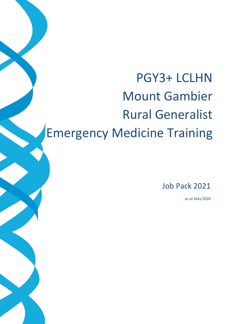# PGY3+ LCLHN Mount Gambier Rural Generalist Emergency Medicine Training

Job Pack 2021

as at May 2020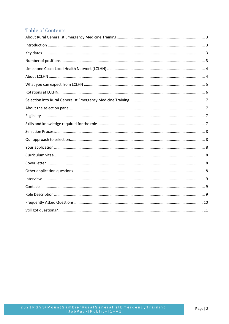# **Table of Contents**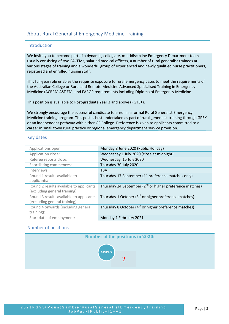# <span id="page-2-1"></span><span id="page-2-0"></span>About Rural Generalist Emergency Medicine Training

## Introduction

We invite you to become part of a dynamic, collegiate, multidiscipline Emergency Department team usually consisting of two FACEMs, salaried medical officers, a number of rural generalist trainees at various stages of training and a wonderful group of experienced and newly qualified nurse practitioners, registered and enrolled nursing staff.

This full-year role enables the requisite exposure to rural emergency cases to meet the requirements of the Australian College or Rural and Remote Medicine Advanced Specialised Training in Emergency Medicine (ACRRM AST EM) and FARGP requirements including Diploma of Emergency Medicine.

This position is available to Post-graduate Year 3 and above (PGY3+).

We strongly encourage the successful candidate to enrol in a formal Rural Generalist Emergency Medicine training program. This post is best undertaken as part of rural generalist training through GPEX or an independent pathway with either GP College. Preference is given to applicants committed to a career in small town rural practice or regional emergency department service provision.

## <span id="page-2-2"></span>Key dates

| Applications open:                      | Monday 8 June 2020 (Public Holiday)                               |
|-----------------------------------------|-------------------------------------------------------------------|
| Application close:                      | Wednesday 1 July 2020 (close at midnight)                         |
| Referee reports close:                  | Wednesday 15 July 2020                                            |
| Shortlisting commences:                 | Thursday 30 July 2020                                             |
| Interviews:                             | <b>TBA</b>                                                        |
| Round 1 results available to            | Thursday 17 September (1 <sup>st</sup> preference matches only)   |
| applicants:                             |                                                                   |
| Round 2 results available to applicants | Thursday 24 September $(2^{nd}$ or higher preference matches)     |
| (excluding general training):           |                                                                   |
| Round 3 results available to applicants | Thursday 1 October (3 <sup>rd</sup> or higher preference matches) |
| (excluding general training):           |                                                                   |
| Round 4 onwards (including general      | Thursday 8 October (4 <sup>th</sup> or higher preference matches) |
| training):                              |                                                                   |
| Start date of employment:               | Monday 1 February 2021                                            |

## <span id="page-2-3"></span>Number of positions

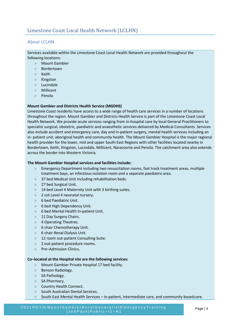## <span id="page-3-1"></span><span id="page-3-0"></span>About LCLHN

Services available within the Limestone Coast Local Health Network are provided throughout the following locations:

- Mount Gambier
- Bordertown
- $>$  Keith
- > Kingston
- Lucindale
- Millicent
- $>$  Penola

## **Mount Gambier and Districts Health Service (MGDHS)**

Limestone Coast residents have access to a wide range of health care services in a number of locations throughout the region. Mount Gambier and Districts Health Service is part of the Limestone Coast Local Health Network. We provide acute services ranging from in-hospital care by local General Practitioners to specialist surgical, obstetric, paediatric and anaesthetic services delivered by Medical Consultants. Services also include accident and emergency care, day and in-patient surgery, mental health services including an in- patient unit, aboriginal health and community health. The Mount Gambier Hospital is the major regional health provider for the lower, mid and upper South East Regions with other facilities located nearby in Bordertown, Keith, Kingston, Lucindale, Millicent, Naracoorte and Penola. The catchment area also extends across the border into Western Victoria.

#### **The Mount Gambier Hospital services and facilities include:**

- Emergency Department including two resuscitation rooms, fast track treatment areas, multiple treatment bays, an infectious isolation room and a separate paediatric area.
- 37 bed Medical Unit including rehabilitation beds.
- 27 bed Surgical Unit.
- $>$  14 bed Level 4 Maternity Unit with 3 birthing suites.
- $>$  2 cot Level 4 neonatal nursery.
- $> 6$  bed Paediatric Unit.
- $> 6$  bed High Dependency Unit.
- 6 bed Mental Health In-patient Unit.
- > 11 Day Surgery Chairs.
- > 4 Operating Theatres.
- $> 6$  chair Chemotherapy Unit.
- $> 6$  chair Renal Dialysis Unit.
- > 12 room out-patient Consulting Suite.
- 2 out-patient procedure rooms.
- Pre–Admission Clinics**.**

#### **Co–located at the Hospital site are the following services:**

- Mount Gambier Private Hospital 17 bed facility.
- $>$  Benson Radiology.
- $>$  SA Pathology.
- $>$  SA Pharmacy.
- > Country Health Connect.
- $>$  South Australian Dental Services.
- $>$  South East Mental Health Services in-patient, intermediate care, and community based care.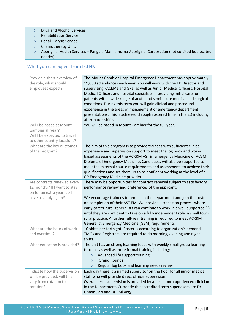- > Drug and Alcohol Services.
- > Rehabilitation Service.
- > Renal Dialysis Service.
- > Chemotherapy Unit.
- Aboriginal Health Services Pangula Mannamurna Aboriginal Corporation (not co-sited but located nearby).

# <span id="page-4-0"></span>What you can expect from LCLHN

| Provide a short overview of<br>the role, what should<br>employees expect?                                         | The Mount Gambier Hospital Emergency Department has approximately<br>19,000 attendances each year. You will work with the ED Director and<br>supervising FACEMs and GPs; as well as Junior Medical Officers, Hospital<br>Medical Officers and hospital specialists in providing initial care for<br>patients with a wide range of acute and semi-acute medical and surgical<br>conditions. During this term you will gain clinical and procedural<br>experience in the areas of management of emergency department<br>presentations. This is achieved through rostered time in the ED including<br>after-hours shifts. |
|-------------------------------------------------------------------------------------------------------------------|------------------------------------------------------------------------------------------------------------------------------------------------------------------------------------------------------------------------------------------------------------------------------------------------------------------------------------------------------------------------------------------------------------------------------------------------------------------------------------------------------------------------------------------------------------------------------------------------------------------------|
| Will I be based at Mount<br>Gambier all year?<br>Will I be expected to travel<br>to other country locations?      | You will be based in Mount Gambier for the full year.                                                                                                                                                                                                                                                                                                                                                                                                                                                                                                                                                                  |
| What are the key outcomes<br>of the program?                                                                      | The aim of this program is to provide trainees with sufficient clinical<br>experience and supervision support to meet the log book and work-<br>based assessments of the ACRRM AST in Emergency Medicine or ACEM<br>Diploma of Emergency Medicine. Candidates will also be supported to<br>meet the external course requirements and assessments to achieve their<br>qualifications and set them up to be confident working at the level of a<br>GP Emergency Medicine provider.                                                                                                                                       |
| Are contracts renewed every<br>12 months? If I want to stay<br>on for an extra year, do I<br>have to apply again? | There may be opportunities for contract renewal subject to satisfactory<br>performance review and preferences of the applicant.<br>We encourage trainees to remain in the department and join the roster<br>on completion of their AST EM. We provide a transition process where<br>early career rural generalists can continue to work in a well-supported ED<br>until they are confident to take on a fully independent role in small town<br>rural practice. A further full-year training is required to meet ACRRM<br>Generalist Emergency Medicine (GEM) requirements.                                            |
| What are the hours of work<br>and overtime?                                                                       | 10 shifts per fortnight. Roster is according to organization's demand.<br>TMOs and Registrars are required to do morning, evening and night<br>shifts.                                                                                                                                                                                                                                                                                                                                                                                                                                                                 |
| What education is provided?                                                                                       | The unit has an strong learning focus with weekly small group learning<br>tutorials as well as more formal training including:<br>Advanced life support training<br><b>Grand Rounds</b><br>$\rm{>}$<br>Regular log book and learning needs review<br>$\geq$                                                                                                                                                                                                                                                                                                                                                            |
| Indicate how the supervision<br>will be provided, will this<br>vary from rotation to<br>rotation?                 | Each day there is a named supervisor on the floor for all junior medical<br>staff who will provide direct clinical supervision.<br>Overall term supervision is provided by at least one experienced clinician<br>in the Department. Currently the accredited term supervisors are Dr<br>Umair Qazi and Dr Phil Argy.                                                                                                                                                                                                                                                                                                   |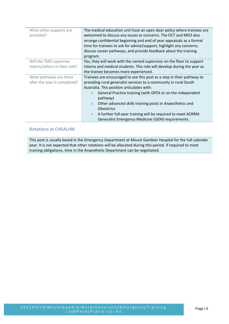| What other supports are       | The medical education unit have an open door policy where trainees are  |
|-------------------------------|-------------------------------------------------------------------------|
| provided?                     | welcomed to discuss any issues or concerns. The DCT and MEO also        |
|                               | arrange confidential beginning and end of year appraisals as a formal   |
|                               | time for trainees to ask for advice/support, highlight any concerns,    |
|                               | discuss career pathways, and provide feedback about the training        |
|                               | program.                                                                |
| Will the TMO supervise        | Yes, they will work with the named supervisor on the floor to support   |
| interns/others in their role? | interns and medical students. This role will develop during the year as |
|                               | the trainee becomes more experienced.                                   |
| What pathways are there       | Trainees are encouraged to see this post as a step in their pathway to  |
| after the year is completed?  | providing rural generalist services to a community in rural South       |
|                               | Australia. This position articulates with:                              |
|                               | General Practice training (with GPEX or on the independent<br>$\geq$    |
|                               | pathway)                                                                |
|                               | Other advanced skills training posts in Anaesthetics and<br>$\geq$      |
|                               | <b>Obstetrics</b>                                                       |
|                               | A further full-year training will be required to meet ACRRM<br>$\geq$   |
|                               | Generalist Emergency Medicine (GEM) requirements.                       |

## <span id="page-5-0"></span>Rotations at CHSALHN

This post is usually based in the Emergency Department at Mount Gambier Hospital for the full calendar year. It is not expected that other rotations will be allocated during this period. If required to meet training obligations, time in the Anaesthetic Department can be negotiated.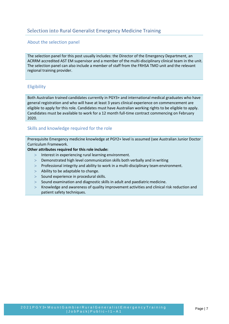## <span id="page-6-1"></span><span id="page-6-0"></span>About the selection panel

The selection panel for this post usually includes: the Director of the Emergency Department, an ACRRM accredited AST EM supervisor and a member of the multi-disciplinary clinical team in the unit. The selection panel can also include a member of staff from the FRHSA TMO unit and the relevant regional training provider.

## <span id="page-6-2"></span>Eligibility

Both Australian trained candidates currently in PGY3+ and international medical graduates who have general registration and who will have at least 3 years clinical experience on commencement are eligible to apply for this role. Candidates must have Australian working rights to be eligible to apply. Candidates must be available to work for a 12 month full-time contract commencing on February 2020.

## <span id="page-6-3"></span>Skills and knowledge required for the role

Prerequisite Emergency medicine knowledge at PGY2+ level is assumed (see Australian Junior Doctor Curriculum Framework.

## **Other attributes required for this role include:**

- > Interest in experiencing rural learning environment.
- Demonstrated high level communication skills both verbally and in writing
- Professional integrity and ability to work in a multi-disciplinary team environment.
- $>$  Ability to be adaptable to change.
- $>$  Sound experience in procedural skills.
- $>$  Sound examination and diagnostic skills in adult and paediatric medicine.
- Knowledge and awareness of quality improvement activities and clinical risk reduction and patient safety techniques.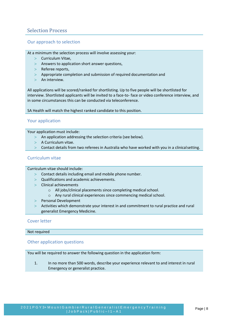# <span id="page-7-0"></span>Selection Process

## <span id="page-7-1"></span>Our approach to selection

At a minimum the selection process will involve assessing your:

- $>$  Curriculum Vitae,
- $>$  Answers to application short answer questions,
- > Referee reports,
- Appropriate completion and submission of required documentation and
- $>$  An interview.

All applications will be scored/ranked for shortlisting. Up to five people will be shortlisted for interview. Shortlisted applicants will be invited to a face-to- face or video conference interview, and in some circumstances this can be conducted via teleconference.

SA Health will match the highest ranked candidate to this position.

## <span id="page-7-2"></span>Your application

Your application must include:

- $>$  An application addressing the selection criteria (see below).
- $>$  A Curriculum vitae.
- Contact details from two referees in Australia who have worked with you in a clinicalsetting.

## <span id="page-7-3"></span>Curriculum vitae

Curriculum vitae should include:

- Contact details including email and mobile phone number.
- $>$  Qualifications and academic achievements.
- Clinical achievements
	- o All jobs/clinical placements since completing medical school.
	- o Any rural clinical experiences since commencing medical school.
- > Personal Development
- Activities which demonstrate your interest in and commitment to rural practice and rural generalist Emergency Medicine.

## <span id="page-7-4"></span>Cover letter

Not required

## <span id="page-7-5"></span>Other application questions

You will be required to answer the following question in the application form:

1. In no more than 500 words, describe your experience relevant to and interest in rural Emergency or generalist practice.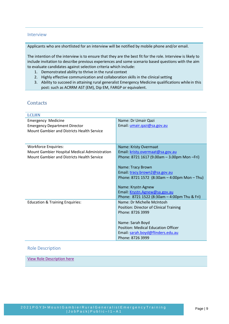## <span id="page-8-0"></span>Interview

Applicants who are shortlisted for an interview will be notified by mobile phone and/or email.

The intention of the interview is to ensure that they are the best fit for the role. Interview is likely to include invitation to describe previous experiences and some scenario based questions with the aim to evaluate candidates against selection criteria which include:

- 1. Demonstrated ability to thrive in the rural context
- 2. Highly effective communication and collaboration skills in the clinical setting
- 3. Ability to succeed in attaining rural generalist Emergency Medicine qualifications while in this post: such as ACRRM AST (EM), Dip EM, FARGP or equivalent.

# <span id="page-8-1"></span>**Contacts**

| <b>LCLHN</b>                                  |                                                  |  |  |
|-----------------------------------------------|--------------------------------------------------|--|--|
| <b>Emergency Medicine</b>                     | Name: Dr Umair Qazi                              |  |  |
| <b>Emergency Department Director</b>          | Email: umair.qazi@sa.gov.au                      |  |  |
| Mount Gambier and Districts Health Service    |                                                  |  |  |
|                                               |                                                  |  |  |
|                                               |                                                  |  |  |
| <b>Workforce Enquiries:</b>                   | Name: Kristy Overmaat                            |  |  |
| Mount Gambier Hospital Medical Administration | Email: kristy.overmaat@sa.gov.au                 |  |  |
| Mount Gambier and Districts Health Service    | Phone: 8721 1617 (9.00am - 3.00pm Mon - Fri)     |  |  |
|                                               |                                                  |  |  |
|                                               | Name: Tracy Brown                                |  |  |
|                                               | Email: tracy.brown2@sa.gov.au                    |  |  |
|                                               | Phone: 8721 1572 (8:30am $-$ 4:00pm Mon $-$ Thu) |  |  |
|                                               | Name: Krystn Agnew                               |  |  |
|                                               | Email: Krystn.Agnew@sa.gov.au                    |  |  |
|                                               | Phone: 8721 1522 (8:30am - 4:00pm Thu & Fri)     |  |  |
| <b>Education &amp; Training Enquiries:</b>    | Name: Dr Michelle McIntosh                       |  |  |
|                                               | Position: Director of Clinical Training          |  |  |
|                                               | Phone: 8726 3999                                 |  |  |
|                                               |                                                  |  |  |
|                                               | Name: Sarah Boyd                                 |  |  |
|                                               | <b>Position: Medical Education Officer</b>       |  |  |
|                                               | Email: sarah.boyd@flinders.edu.au                |  |  |
|                                               | Phone: 8726 3999                                 |  |  |

## <span id="page-8-2"></span>Role Description

[View Role Description here](https://www.samet.org.au/wp-content/uploads/2017/03/JP-Emergency-Medicine-Medical-Officer-.pdf)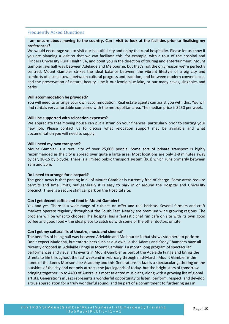## <span id="page-9-0"></span>Frequently Asked Questions

## **I am unsure about moving to the country. Can I visit to look at the facilities prior to finalising my preferences?**

We would encourage you to visit our beautiful city and enjoy the rural hospitality. Please let us know if you are planning a visit so that we can facilitate this, for example, with a tour of the hospital and Flinders University Rural Health SA, and point you in the direction of touring and entertainment. Mount Gambier lays half way between Adelaide and Melbourne, but that's not the only reason we're perfectly centred. Mount Gambier strikes the ideal balance between the vibrant lifestyle of a big city and comforts of a small town, between cultural progress and tradition, and between modern conveniences and the preservation of natural beauty – be it our iconic blue lake, or our many caves, sinkholes and parks.

#### **Will accommodation be provided?**

You will need to arrange your own accommodation. Real estate agents can assist you with this. You will find rentals very affordable compared with the metropolitan area. The median price is \$250 per week.

#### **Will I be supported with relocation expenses?**

We appreciate that moving house can put a strain on your finances, particularly prior to starting your new job. Please contact us to discuss what relocation support may be available and what documentation you will need to supply.

#### **Will I need my own transport?**

Mount Gambier is a rural city of over 25,000 people. Some sort of private transport is highly recommended as the city is spread over quite a large area. Most locations are only 3-8 minutes away by car, 10-15 by bicycle. There is a limited public transport system (bus) which runs primarily between 9am and 5pm.

## **Do I need to arrange for a carpark?**

The good news is that parking in all of Mount Gambier is currently free of charge. Some areas require permits and time limits, but generally it is easy to park in or around the Hospital and University precinct. There is a secure staff car park on the Hospital site.

#### **Can I get decent coffee and food in Mount Gambier?**

Yes and yes. There is a wide range of cuisines on offer and real baristas. Several farmers and craft markets operate regularly throughout the South East. Nearby are premium wine growing regions. The problem will be what to choose! The hospital has a fantastic chef run café on site with its own good coffee and good food – the ideal place to catch up with some of the other doctors on site.

#### **Can I get my cultural fix of theatre, music and cinema?**

The benefits of being half way between Adelaide and Melbourne is that shows stop here to perform. Don't expect Madonna, but entertainers such as our own Louise Adams and Kasey Chambers have all recently dropped in. Adelaide Fringe in Mount Gambier is a month long program of spectacular performances and visual arts events in Mount Gambier as part of the Adelaide Fringe and brings the streets to life throughout the last weekend in February through mid-March. Mount Gambier is the home of the James Morison Jazz Academy and this Generations in Jazz is a spectacular gathering on the outskirts of the city and not only attracts the jazz legends of today, but the bright stars of tomorrow, bringing together up to 4400 of Australia's most talented musicians, along with a growing list of global artists. Generations in Jazz represents a wonderful opportunity to listen, perform, respect, and develop a true appreciation for a truly wonderful sound, and be part of a commitment to furthering jazz in